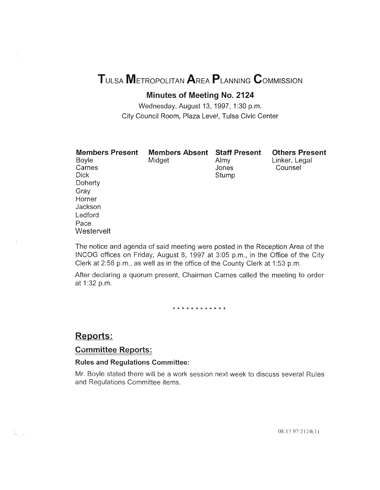# TULSA METROPOLITAN AREA PLANNING CoMMISSION

# Minutes of Meeting No. 2124

Wednesday, August 13, 1997, 1:30 p.m. City Council Room, Plaza Level, Tulsa Civic Center

| <b>Members Present</b><br>Boyle<br>Carnes<br><b>Dick</b><br>Doherty<br>Gray<br>Horner | <b>Members Absent Staff Present</b><br>Midget | Almy<br>Jones<br>Stump | <b>Others Present</b><br>Linker, Legal<br>Counsel |
|---------------------------------------------------------------------------------------|-----------------------------------------------|------------------------|---------------------------------------------------|
| Jackson                                                                               |                                               |                        |                                                   |
| Ledford                                                                               |                                               |                        |                                                   |
| Pace                                                                                  |                                               |                        |                                                   |
| Westervelt                                                                            |                                               |                        |                                                   |

The notice and agenda of said meeting were posted in the Reception Area of the INCOG offices on Friday, August 8, 1997 at 3:05 p.m., in the Office of the City Clerk at 2:58 p.m., as well as in the office of the County Clerk at 1:53 p.m.

After declaring a quorum present, Chairman Carnes called the meeting to order at 1:32 p.m.

\* \* \* \* \* \* \* \* \* \* \* \*

### Reports:

### Committee Reports:

#### Rules and Regulations Committee:

Mr. Boyle stated there will be a work session next week to and Regulations Committee items.

08.13.97:2124(1)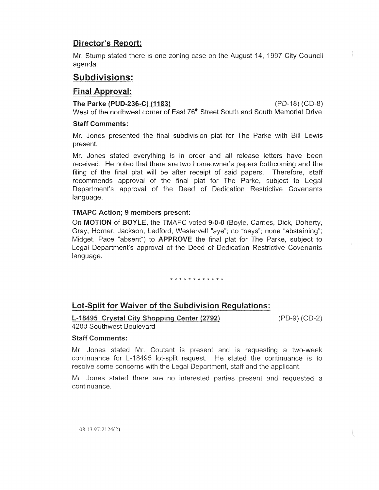# Director's Report:

Mr. Stump stated there is one zoning case on the August 14, 19 agenda.

# **Subdivisions:**

### Final Approval:

The Parke (PUD-236-C) (1183) (PD-18) (CD-8) West of the northwest corner of East 76<sup>th</sup> Street South and South Memorial

#### Staff Comments:

Mr. Jones presented the final subdivision plat for The Parke with Bill present

Mr. Jones stated everything is in order and all release letters have been received. He noted that there are two homeowner's papers forthcoming and the filing of the final plat will be after receipt of said papers. Therefore, staff recommends approval of the final plat for The Parke, subject to Legal Department's approval of the Deed of Dedication Restrictive Covenants language.

### TMAPC Action; 9 members present:

On MOTION of BOYLE, the TMAPC voted 9-0-0 (Boyle, Carnes, Dick, Doherty, Gray, Horner, Jackson, Ledford, Westervelt "aye"; no "nays"; none "abstaining"; Midget, Pace "absent") to **APPROVE** the final plat for The Parke, subject to Legal Department's approval of the Deed of Dedication Restrictive language.

\* \* \* \* \* \* \* \* \* \* \* \*

# **Lot-Split for Waiver of the Subdivision Regulations:**

L-18495 Crystal City Shopping Center (2792) 4200 Southwest Boulevard

 $(PD-9) (CD-2)$ 

### Staff Comments:

Mr. Jones stated Mr. Coutant is present and is requesting a two-week continuance for L-18495 lot-split request. He stated the continuance is to resolve some concerns with the Legal Department, staff and the applicant.

Mr. Jones stated there are no interested parties present and requested a continuance.

08.13.97:2124(2)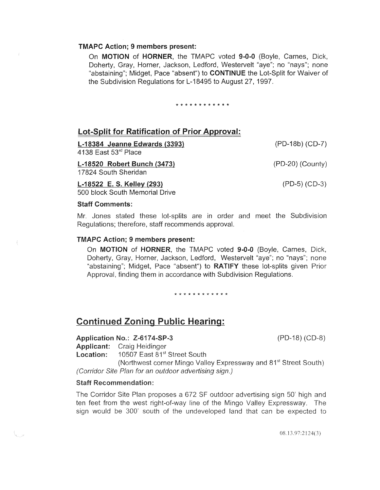#### TMAPC Action; 9 members present:

On MOTION of HORNER, the TMAPC voted 9-0-0 (Boyle, Carnes, Dick, Doherty, Gray, Horner, Jackson, Ledford, Westervelt "aye"; no "nays"; none "abstaining"; Midget, Pace "absent") to **CONTINUE** the Lot-Split for Waiver of the Subdivision Regulations for L-18495 to August 27, 1997.

\* \* \* \* \* \* \* \* \* \* \* \*

### Lot-Split for Ratification of Prior Approval:

| L-18384 Jeanne Edwards (3393)                       | (PD-18b) (CD-7)    |
|-----------------------------------------------------|--------------------|
| 4138 East $53rd$ Place                              |                    |
| L-18520 Robert Bunch (3473)<br>17824 South Sheridan | $(PD-20)$ (County) |
| L-18522 E. S. Kelley (293)                          | $(PD-5) (CD-3)$    |
| 500 block South Memorial Drive                      |                    |

#### Staff Comments:

Mr. Jones stated these lot-splits are in order and meet the Subdivision Regulations; therefore, staff recommends approval.

#### TMAPC Action; 9 members present:

On MOTION of HORNER, the TMAPC voted 9-0-0 (Boyle, Carnes, Dick, Doherty, Gray, Horner, Jackson, Ledford, Westervelt "aye"; no "nays"; none "abstaining"; Midget, Pace "absent") to RATIFY these lot-splits given Prior Approval, finding them in accordance with Subdivision Regulations.

\* \* \* \* \* \* \* \* \* \* \* \*

## Continued Zoning Public Hearing:

#### Application No.: Z-6174-SP-3 (PD-18) (CD-8)

Applicant: Craig Heidinger

Location: 10507 East 81<sup>st</sup> Street South

(Northwest corner Mingo Valley Expressway and 81<sup>st</sup> Street South) (Corridor Site Plan for an outdoor advertising sign.)

#### **Staff Recommendation:**

The Corridor Site Plan proposes a 672 SF outdoor advertising sign 50' high and ten feet from the west right-of-way line of the Mingo Valley Expressway. The sign would be 300' south of the undeveloped land that can be expected to

08.13.97:2124(3)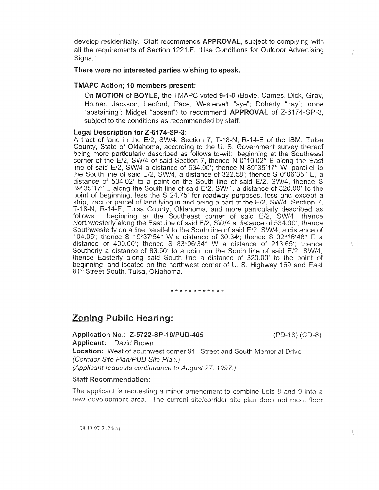develop residentially. Staff recommends **APPROVAL**, subject to complying with all the requirements of Section 1221.F. "Use Conditions for Outdoor Advertising Signs."

#### There were no interested parties wishing to speak.

#### TMAPC Action; 10 members present:

On MOTION of BOYLE, the TMAPC voted 9-1-0 (Boyle, Carnes, Dick, Gray, Horner, Jackson, Ledford, Pace, Westervelt "aye"; Doherty "nay"; none "abstaining"; Midget "absent") to recommend **APPROVAL** of Z-6174-SP-3, subject to the conditions as recommended by staff.

#### Legal Description for Z-6174-SP-3:

A tract of land in the E/2, SW/4, Section 7, T-18-N, R-14-E of the IBM, Tulsa County, State of Oklahoma, according to the U. S. Government survey thereof being more particularly described as follows to-wit: beginning at the Southeast corner of the E/2, SW/4 of said Section 7, thence N 0°10'02" E along the line of said E/2, SW/4 a distance of 534.00'; thence N 89°35'17" W, parallel to the South line of said E/2, SW/4, a distance of 322.58'; thence S 0°06'35" E, a distance of 534.02' to a point on the South line of said E/2, SW/4, thence S  $89^{\circ}35'17''$  E along the South line of said E/2, SW/4, a distance of 320.00' to the point of beginning, less the S 24.75' for roadway purposes, less and except a strip, tract or parcel of land lying in and being a part of the E/2, SW/4, Section 7. T-18-N, R-14-E, Tulsa County, Oklahoma, and more particularly follows: corner of said  $E/2$ , SW/4; Northwesterly along the East line of said E/2, SW/4 a distance of 534.00'; thence Southwesterly on a line parallel to the South line of said E/2, SW/4, a distance of 104.05'; thence S 19°37'54" W a distance of 30.34'; thence S 02°16'48" E a distance of 400.00'; thence S  $83^{\circ}06'34''$  W a distance of 213.65'; thence Southerly a distance of 83.50' to a point on the South line of said  $E/2$ , SW/4; thence Easterly along said South line a distance of 320.00' to the point of beginning, and located on the northwest corner of U. S. Highway 169 and East 81<sup>st</sup> Street South, Tulsa, Oklahoma.

\* \* \* \* \* *k* \* \* \* \* \* \*

# **Zoning Public Hearing:**

#### Application No.: Z-5722-SP-10/PUD-405

 $(PD-18) (CD-8)$ 

Applicant: David Brown **Location:** West of southwest corner 91<sup>st</sup> Street and South Memorial Drive (Corridor Site Plan/PUD Site Plan.) (Applicant requests continuance to August 27, 1997.)

#### **Staff Recommendation:**

The applicant is requesting a minor amendment to combine Lots 8 and 9 into a new development area. The current site/corridor site plan does not meet floor

 $\frac{1}{3}$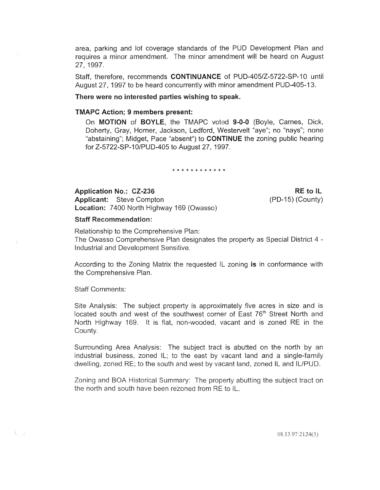area, parking and lot coverage standards of the PUD Development Plan and requires a minor amendment. The minor amendment will be heard on August 27, 1997.

Staff, therefore, recommends CONTINUANCE of PUD-405/Z-5722-SP-10 until August 27, 1997 to be heard concurrently with minor amendment PUD-405-13.

#### There were no interested parties wishing to speak.

#### TMAPC Action; 9 members present:

On MOTION of BOYLE, the TMAPC voted 9-0-0 (Boyle, Carnes, Dick, Doherty, Gray, Horner, Jackson, Ledford, Westervelt "aye"; no "nays"; none "abstaining"; Midget, Pace "absent") to **CONTINUE** the zoning public hearing for Z-5722-SP-10/PUD-405 to August 27, 1997.

\* \* \* \* \* \* \* \* \* \* \* \*

Application No.: CZ-236

Applicant: Steve Compton Location: 7400 North Highway 169 (Owasso)

 $RE$  to  $IL$ (PD-15) (County)

#### Staff Recommendation:

Relationship to the Comprehensive Plan: Owasso Comprehensive Plan designates the property as Special District 4 -Industrial and Development Sensitive.

According to the Zoning Matrix the requested IL zoning is in conformance the Comprehensive Plan.

Staff Comments:

€., 2

Site Analysis: The subject property is approximately five acres in size and is located south and west of the southwest corner of East 76<sup>th</sup> Street North and North Highway 169. It is flat, non-wooded, vacant and is zoned RE in the County.

Surrounding Area Analysis: The subject tract is abutted on the north by an industrial business, zoned IL; to the east by vacant land and a single-family dwelling, zoned RE; to the south and west by vacant land, zoned IL and IL/PUD.

Zoning and BOA Historical Summary: The property abutting the subject tract on the north and south have been rezoned from RE to IL.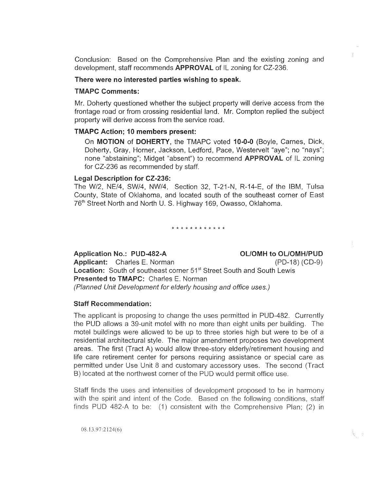Conclusion: Based on the Comprehensive Plan and the existing development, staff recommends **APPROVAL** of IL zoning for CZ-236*.* 

#### There were no interested parties wishing to speak.

#### TMAPC Comments:

Mr. Doherty questioned whether the subject property will derive access from the frontage road or from crossing residential land. Mr. Compton replied the property will derive access from the service road.

#### TMAPC Action; 10 members present:

On MOTION of DOHERTY, the TMAPC voted 10-0-0 (Boyle, Carnes, Dick, Doherty, Gray, Horner, Jackson, Ledford, Pace, Westervelt "aye"; no "nays"; none "abstaining"; Midget "absent") to recommend **APPROVAL** of IL zoning for CZ-236 as recommended by staff.

#### Legal Description for CZ-236:

The W/2, NE/4, SW/4, NW/4, Section 32, T-21-N, R-14-E, of the IBM, Tulsa County, State of Oklahoma, and located south of the southeast corner of East 76<sup>th</sup> Street North and North U. S. Highway 169, Owasso, Oklahoma.

\* \* \* \* \* \* \* \* \* \* \*

Application No.: PUD-482-A OL/OMH to OL/OMH/PUD

Applicant: Charles E. Norman (PD-18) (CD-9) **Location:** South of southeast corner 51<sup>st</sup> Street South and South Lewis Presented to TMAPC: Charles E. Norman (Planned Unit Development for elderly housing and office uses.)

#### Staff Recommendation:

The applicant is proposing to change the uses permitted in PUD-482. Currently the PUD allows a 39-unit motel with no more than eight units per building. The motel buildings were allowed to be up to three stories high but were to be of a residential architectural style. The major amendment proposes two development areas. The first (Tract A) would allow three-story elderly/retirement housing and life care retirement center for persons requiring assistance or special care as permitted under Use Unit 8 and customary accessory uses. The second (Tract B) located at the northwest corner of the PUD would permit office use.

Staff finds the uses and intensities of development proposed to be in harmony with the spirit and intent of the Code. Based on the following conditions, staff finds PUD 482-A to be: (1) consistent with the Comprehensive Plan; (2) in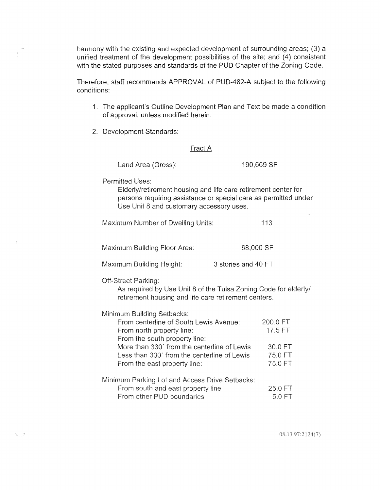harmony with the existing and expected development of surrounding areas; (3) a unified treatment of the development possibilities of the site; and (4) consistent with the stated purposes and standards of the PUD Chapter of the Zoning Code.

Therefore, staff recommends APPROVAL of PUD-482-A subject to the following conditions:

- 1. The applicant's Outline Development Plan and Text be made a condition of approval, unless modified herein.
- 2. Development Standards:

#### Tract A

| Land Area (Gross): |  |
|--------------------|--|
|--------------------|--|

190,669 SF

Permitted Uses:

Elderly/retirement housing and life care retirement center for persons requiring assistance or special care as permitted under Use Unit 8 and customary accessory uses.

| Maximum Number of Dwelling Units: | 113 |
|-----------------------------------|-----|
|-----------------------------------|-----|

Maximum Building Floor Area: 68,000 SF

Maximum Building Height: 3 stories and 40 FT

**Off-Street Parking:** 

- rg

As required by Use Unit 8 of the Tulsa Zoning Code for elderly/ retirement housing and life care retirement centers.

Minimum Building Setbacks:

| From centerline of South Lewis Avenue:         | 200.0 FT |
|------------------------------------------------|----------|
| From north property line:                      | 17.5 FT  |
| From the south property line:                  |          |
| More than 330' from the centerline of Lewis    | 30.0 FT  |
| Less than 330' from the centerline of Lewis    | 75.0 FT  |
| From the east property line:                   | 75.0 FT  |
| Minimum Parking Lot and Access Drive Setbacks: |          |
| From south and east property line              | 25.0 FT  |
| From other PUD boundaries                      | 5.0 F T  |

08.13.97:2124(7)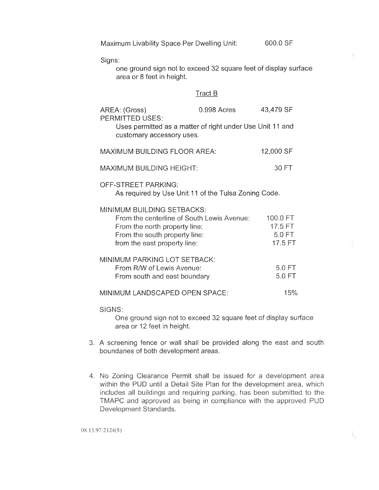|  | Maximum Livability Space Per Dwelling Unit: |  |
|--|---------------------------------------------|--|
|  |                                             |  |

Signs:

one ground sign not to exceed 32 square feet of display area or 8 feet in height.

600.0 SF

### Tract B

| AREA: (Gross)<br><b>PERMITTED USES:</b>                                                                                                                                           | 0.998 Acres | 43,479 SF                                |
|-----------------------------------------------------------------------------------------------------------------------------------------------------------------------------------|-------------|------------------------------------------|
| Uses permitted as a matter of right under Use Unit 11 and<br>customary accessory uses.                                                                                            |             |                                          |
| <b>MAXIMUM BUILDING FLOOR AREA:</b>                                                                                                                                               |             | 12,000 SF                                |
| <b>MAXIMUM BUILDING HEIGHT:</b>                                                                                                                                                   |             | 30 FT                                    |
| <b>OFF-STREET PARKING:</b><br>As required by Use Unit 11 of the Tulsa Zoning Code.                                                                                                |             |                                          |
| <b>MINIMUM BUILDING SETBACKS:</b><br>From the centerline of South Lewis Avenue:<br>From the north property line:<br>From the south property line:<br>from the east property line: |             | 100.0 FT<br>17.5 FT<br>5.0 FT<br>17.5 FT |
| MINIMUM PARKING LOT SETBACK:<br>From R/W of Lewis Avenue:<br>From south and east boundary                                                                                         |             | 5.0 FT<br>5.0 FT                         |
| MINIMUM LANDSCAPED OPEN SPACE:                                                                                                                                                    |             | 15%                                      |
|                                                                                                                                                                                   |             |                                          |

SIGNS:

One ground sign not to exceed 32 square feet of display surface area or 12 feet in height.

- 3. A screening fence or wall shall be provided along the east and south boundaries of both development areas.
- 4. No Zoning Clearance Permit shall be issued for a development area within the PUD until a Detail Site Plan for the development area, which includes all buildings and requiring parking, has been submitted to the TMAPC and approved as being in compliance with the approved PUD Development Standards.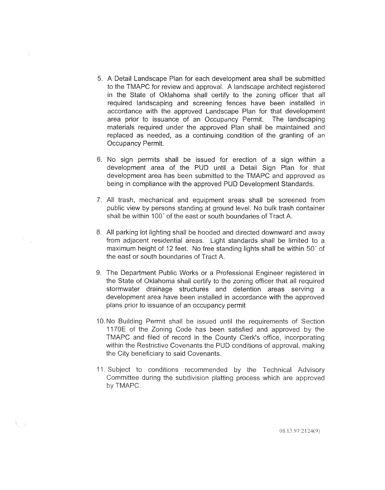- A Detail Landscape Plan for each development area shall be submitted to the TMAPC for review and approval. A landscape architect registered in the State of Oklahoma shall certify to the zoning officer that all required landscaping and screening fences have been installed in accordance with the approved Landscape Plan for that development area prior to issuance of an Occupancy Permit. The landscaping materials required under the approved Plan shall be maintained and replaced as needed, as a continuing condition of the granting of an Occupancy Permit.
- 6. No sign permits shall be issued for erection of a sign within a development area of the PUD until a Detail Sign Plan for that development area has been submitted to the TMAPC and approved as being in compliance with the approved PUD Development Standards.
- All trash, mechanical and equipment areas shall be screened from public view by persons standing at ground level. No bulk trash container shall be within 100' of the east or south boundaries of Tract A.
- 8. All parking lot lighting shall be hooded and directed downward and away from adjacent residential areas. Light standards shall be limited to a maximum height of 12 feet. No free standing lights shall be within 50' of the east or south boundaries of Tract A.
- 9. The Department Public Works or a Professional Engineer registered in the State of Oklahoma shall certify to the zoning officer that all required stormwater drainage structures and detention areas serving a development area have been installed in accordance with the approved plans prior to issuance of an occupancy permit
- 10. No Building Permit shall be issued until the requirements of Section 1170E of the Zoning Code has been satisfied and approved by the TMAPC and filed of record in the County Clerk's office, incorporating within the Restrictive Covenants the PUD conditions of approval, making the City beneficiary to said Covenants.
- 11. Subject to conditions recommended by the Technical Advisory Committee during the subdivision platting process which are approved by TMAPC.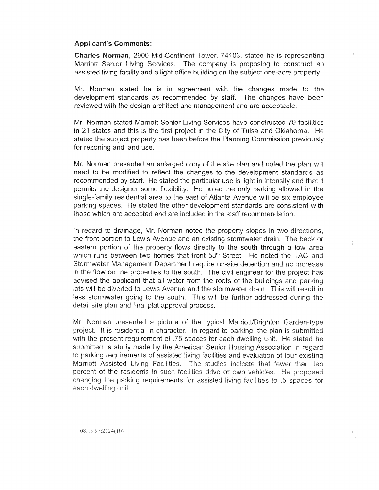#### **Applicant's Comments:**

Charles Norman, 2900 Mid-Continent Tower, 74103, stated he is representing Marriott Senior Living Services. The company is proposing to construct an assisted living facility and a light office building on the subject one-acre property.

Mr. Norman stated he is in agreement with the changes made to the development standards as recommended by staff. The changes have been reviewed with the design architect and management and are acceptable.

Mr. Norman stated Marriott Senior Living Services have constructed 79 facilities in 21 states and this is the first project in the City of Tulsa and Oklahoma. He stated the subject property has been before the Planning Commission previously for rezoning and land use.

Mr. Norman presented an enlarged copy of the site plan and noted the plan will need to be modified to reflect the changes to the development standards as recommended by staff. He stated the particular use is light in intensity and that it permits the designer some flexibility. He noted the only parking allowed in the single-family residential area to the east of Atlanta Avenue will be six employee parking spaces. He stated the other development standards are consistent with those which are accepted and are included in the staff recommendation.

In regard to drainage, Mr. Norman noted the property slopes in two directions, the front portion to Lewis Avenue and an existing stormwater drain. The back or eastern portion of the property flows directly to the south through a low area which runs between two homes that front 53<sup>rd</sup> Street. He noted the TAC and Stormwater Management Department require on-site detention and no increase in the flow on the properties to the south. The civil engineer for the project has advised the applicant that all water from the roofs of the buildings and parking lots will be diverted to Lewis Avenue and the stormwater drain. This will result in less stormwater going to the south. This will be further addressed during the detail site plan and final plat approval process.

Mr. Norman presented a picture of the typical Marriott/Brighton Garden-type project. It is residential in character. In regard to parking, the plan is submitted with the present requirement of .75 spaces for each dwelling unit. He stated he submitted a study made by the American Senior Housing Association in regard to parking requirements of assisted living facilities and evaluation of four existing Marriott Assisted Living Facilities. The studies indicate that fewer than ten percent of the residents in such facilities drive or own vehicles. He proposed changing the parking requirements for assisted living facilities to .5 spaces for each dwelling unit.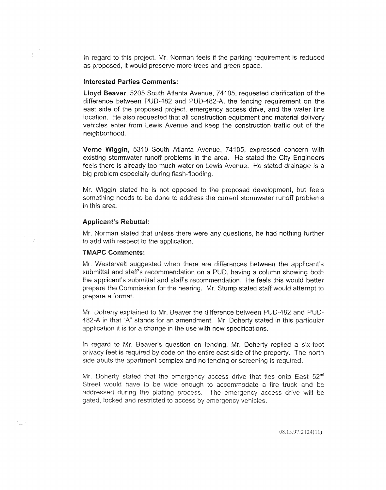In regard to this project, Mr. Norman feels if the parking requirement is reduced as proposed, it would preserve more trees and green space.

#### Interested Parties Comments:

 $\mathfrak{f}^{\prime}$ 

Lloyd Beaver, 5205 South Atlanta Avenue, 74105, requested clarification of the difference between PUD-482 and PUD-482-A, the fencing requirement on the east side of the proposed project, emergency access drive, and the water line location. He also requested that all construction equipment and material delivery vehicles enter from Lewis Avenue and keep the construction traffic out of the neighborhood.

Verne Wiggin, 5310 South Atlanta Avenue, 74105, expressed concern with existing stormwater runoff problems in the area. He stated the City Engineers feels there is already too much water on Lewis Avenue. He stated drainage is a big problem especially during flash-flooding.

Mr. Wiggin stated he is not opposed to the proposed development, but feels something needs to be done to address the current stormwater runoff probiems in this area.

#### Applicant's Rebuttal:

Mr. Norman stated that unless there were any questions, he had nothing further to add with respect to the application.

#### TMAPC Comments:

Mr. Westervelt suggested when there are differences between the applicant's submittal and staff's recommendation on a PUD, having a column showing both the applicant's submittai and staffs recommendation. He feels this would better prepare the Commission for the hearing. Mr. Stump stated staff would attempt to prepare a format.

Mr. Doherty explained to Mr. Beaver the difference between PUD-482 and PUD-482-A in that "A" stands for an amendment. Mr. Doherty stated in this particular application it is for a change in the use with new specifications.

In regard to Mr. Beaver's question on fencing, Mr. Doherty replied a six-foot privacy feet is required by code on the entire east side of the property. The north side abuts the apartment complex and no fencing or screening is required.

Mr. Doherty stated that the emergency access drive that ties onto East 52<sup>nd</sup> Street would have to be wide enough to accommodate a fire truck and be addressed during the platting process. The emergency access drive will be gated, locked and restricted to access by emergency vehicles.

 $08.13.97:2124(11)$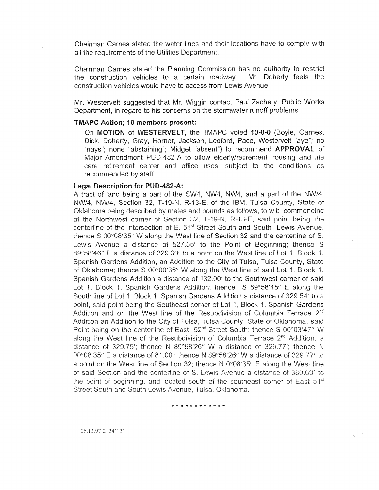Chairman Carnes stated the water lines and their locations have to comply with all the requirements of the Utilities Department.

Chairman Carnes stated the Planning Commission has no authority to the construction vehicles to a certain roadway. construction vehicles would have to access from Lewis Mr. Doherty feels the

Mr. Westervelt suggested that Mr. Wiggin contact Paul Zachery, Public Works Department, in regard to his concerns on the stormwater runoff problems.

#### TMAPC Action; 10 members present:

On MOTION of WESTERVELT, the TMAPC voted 10-0-0 (Boyle, Carnes, Dick, Doherty, Gray, Horner, Jackson, Ledford, Pace, Westervelt "aye"; no "nays"; none "abstaining"; Midget "absent") to recommend **APPROVAL** of Major Amendment PUD-482-A to allow elderly/retirement housing and care retirement center and office uses, subject to the conditions as recommended by staff.

#### Legal Description for PUD-482-A:

A tract of land being a part of the SW4, NW4, NW4, and a part of the NW/4, NW/4, NW/4, Section 32, T-19-N, R-13-E, of the IBM, Tulsa County, State of Oklahoma being described by metes and bounds as follows, to wit: commencing at the Northwest corner of Section 32, T-19-N, R-13-E, said point being the centerline of the intersection of E. 51<sup>st</sup> Street South and South Lewis Avenue, thence S 00°08′35″ W along the West line of Section 32 and the centerline of S. Lewis Avenue a distance of 527.35' to the Point of Beginning; thence S 89°58'46" E a distance of 329.39' to a point on the West line of Lot 1, Block 1, Spanish Gardens Addition, an Addition to the City of Tulsa, Tulsa County, State of Oklahoma; thence S 00°00'36" W along the West line of said Lot 1, Block 1, Spanish Gardens Addition a distance of 132.00' to the Southwest corner of said Lot 1, Block 1, Spanish Gardens Addition; thence S 89°58'45" E along the South line of Lot 1, Block 1, Spanish Gardens Addition a distance of 329.54' to a point, said point being the Southeast corner of Lot 1, Block 1, Spanish Gardens Addition and on the West line of the Resubdivision of Columbia Terrace 2<sup>nd</sup> Addition an Addition to the City of Tulsa, Tulsa County, State of Oklahoma, said Point being on the centerline of East 52<sup>nd</sup> Street South; thence S 00°03'47" W along the West line of the Resubdivision of Columbia Terrace 2<sup>nd</sup> Addition, a distance of 329.75'; thence N 89°58'26" W a distance of 329.77'; thence N 00°08'35" E a distance of 81.00'; thence N 89°58'26" W a distance of 329.77' to a point on the West line of Section 32; thence N 0°08'35" E along the West line of said Section and the centerline of S. Lewis Avenue a distance of 380.69' to the point of beginning, and located south of the southeast corner of East 51<sup>st</sup> Street South and South Lewis Avenue, Tulsa, Oklahoma.

\* \* \* \* \* \* \* \* \* \* \*

08.13.97:2124(12)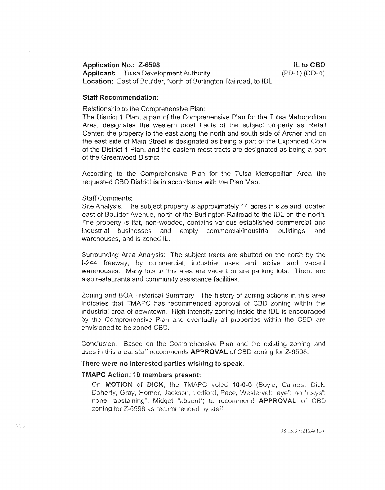#### Application No.: Z-6598

Applicant: Tulsa Development Authority Location: East of Boulder, North of Burlington Railroad, to IDL

ll to CBD (PD-1) (CD-4)

#### Staff Recommendation:

Relationship to the Comprehensive Plan:

The District 1 Plan, a part of the Comprehensive Plan for the Tulsa Metropolitan Area, designates the western most tracts of the subject property as Retail Center; the property to the east along the north and south side of Archer and on the east side of Main Street is designated as being a part of the Expanded Core of the District 1 Plan, and the eastern most tracts are designated as being a part of the Greenwood District.

According to the Comprehensive Plan for the Tulsa Metropolitan Area requested CBD District is in accordance with the Plan Map.

#### Staff Comments:

Site Analysis: The subject property is approximately 14 acres in size and located east of Boulder Avenue, north of the Burlington Railroad to the IDL on the north. The property is flat, non-wooded, contains various established commercial and industrial businesses and empty commercial/industrial buildings and warehouses, and is zoned IL.

Surrounding Area Analysis: The subject tracts are abutted on the north by I-244 freeway, by commercial, industrial uses and active and vacant warehouses. Many lots in this area are vacant or are parking lots. There are also restaurants and community assistance facilities.

Zoning and BOA Historical Summary: The history of zoning actions in this area indicates that TMAPC has recommended approval of CBD zoning within industrial area of downtown. High intensity zoning inside the IDL is encouraged by the Comprehensive Plan and eventually all properties within the CBD are envisioned to be zoned CBD.

Conclusion: Based on the Comprehensive Plan and the existing zoning uses in this area, staff recommends **APPROVAL** of CBD zoning for Z-6598.

#### There were no interested parties wishing to speak.

#### **TMAPC Action; 10 members present:**

On MOTION of DICK, the TMAPC voted 10-0-0 (Boyle, Carnes, Dick, Doherty, Gray, Horner, Jackson, Ledford, Pace, Westervelt "aye"; no "nays"; none "abstaining"; Midget "absent") to recommend APPROVAL of CBD zoning for Z-6598 as recommended by staff.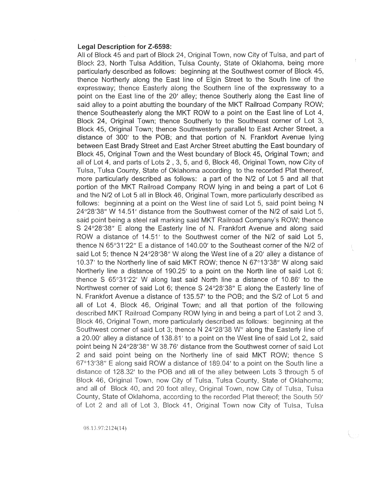#### Legal Description for Z-6598:

All of Block 45 and part of Block 24, Original Town, now City of Tulsa, and part of Block 23, North Tulsa Addition, Tulsa County, State of Oklahoma, being more particularly described as follows: beginning at the Southwest corner of Block 45, thence Northerly along the East line of Elgin Street to the South line of the expressway; thence Easterly along the Southern line of the expressway to a point on the East line of the 20' alley; thence Southerly along the East line of said alley to a point abutting the boundary of the MKT Railroad Company ROW; thence Southeasterly along the MKT ROW to a point on the East line of Lot 4, Block 24, Original Town; thence Southerly to the Southeast corner of Lot 3, Block 45, Original Town; thence Southwesterly parallel to East Archer Street, a distance of 300' to the POB; and that portion of N. Frankfort Avenue lying between East Brady Street and East Archer Street abutting the East boundary Block 45, Original Town and the West boundary of Block 45, Original Town; and all of Lot 4, and parts of Lots 2, 3, 5, and 6, Block 46, Original Town, now City of Tulsa, Tulsa County, State of Oklahoma according to the recorded Plat thereof, more particularly described as follows: a part of the N/2 of Lot 5 and ali portion of the MKT Railroad Company ROW lying in and being a part of Lot 6 and the N/2 of Lot 5 all in Block 46, Original Town, more particularly described as follows: beginning at a point on the West line of said Lot 5, said point being N 24°28'38" W 14.51' distance from the Southwest corner of the N/2 of said Lot 5, said point being a steel rail marking said MKT Railroad Company's ROW; thence S 24°28′38″ E along the Easterly line of N. Frankfort Avenue and along said ROW a distance of 14.51' to the Southwest corner of the N/2 of said Lot 5, thence N 65°31'22" E a distance of 140.00' to the Southeast corner of the N/2 of said Lot 5; thence N 24°28′38″ W along the West line of a 20' alley a distance of 10.37' to the Northerly line of said MKT ROW; thence N 67°13'38" W along said Northerly line a distance of 190.25' to a point on the North line of said Lot 6; thence S  $65^{\circ}31'22'$  W along last said North line a distance of 10.86' to the Northwest corner of said Lot 6; thence S 24°28'38" E along the Easterly line of N. Frankfort Avenue a distance of 135.57' to the POB; and the S/2 of Lot 5 and all of Lot 4, Block 46, Original Town; and all that portion of the following described MKT Railroad Company ROW lying in and being a part of Lot 2 and 3, Block 46, Original Town, more particularly described as follows: beginning at the Southwest corner of said Lot 3; thence N 24°28'38 W" along the Easterly line of a 20.00' alley a distance of 138.81' to a point on the West line of said Lot 2, said point being N 24°28′38″ W 38.76′ distance from the Southwest corner of said Lot 2 and said point being on the Northerly line of said MKT ROW; thence S 67°13'38" E along said ROW a distance of 189.04' to a point on the South line a distance of 128.32' to the POB and all of the alley between Lots 3 through 5 of Block 46, Original Town, now City of Tulsa, Tulsa County, State of Oklahoma; and all of Block 40, and 20 foot alley, Original Town, now City of Tulsa, Tulsa County, State of Oklahoma, according to the recorded Plat thereof; the South 50' of Lot 2 and all of Lot 3, Block 41, Original Town now City of Tulsa, Tulsa

08.13.97:2124(14)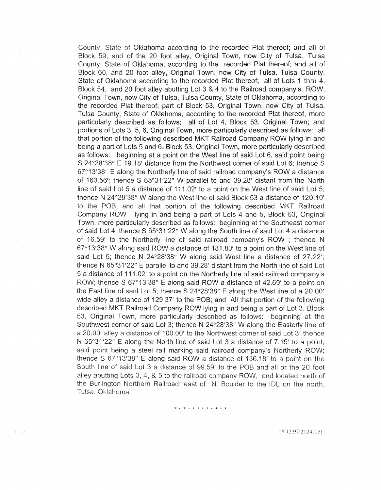County, State of Oklahoma according to the recorded Plat thereof; and all of Block 59, and of the 20 foot alley, Original Town, now City of Tulsa, Tulsa County, State of Oklahoma, according to the recorded Plat thereof; and all of Block 60, and 20 foot alley, Original Town, now City of Tulsa, Tulsa County, State of Oklahoma according to the recorded Plat thereof; all of Lots 1 thru 4, Block 54, and 20 foot alley abutting Lot 3 & 4 to the Railroad company's ROW, Original Town, now City of Tulsa, Tulsa County, State of Oklahoma, according to the recorded Plat thereof; part of Block 53, Original Town, now City of Tulsa, Tulsa County, State of Oklahoma, according to the recorded Plat thereof, more particularly described as follows; all of Lot 4, Block 53, Original Town; and portions of Lots 3, 5, 6, Original Town, more particularly described as follows: all that portion of the following described MKT Railroad Company ROW lying in and being a part of Lots 5 and 6, Block 53, Original Town, more particularly described as follows: beginning at a point on the West line of said Lot 6, said point being S 24°28'38" E 19.18' distance from the Northwest corner of said Lot 6; thence S  $67^{\circ}13'38''$  E along the Northerly line of said railroad company's ROW a distance of 163.56'; thence S 65°31'22" W parallel to and 39.28' distant from the North line of said Lot 5 a distance of 111.02' to a point on the West line of said Lot 5; thence N 24°28'38" W along the West line of said Block 53 a distance of 120.10' to the POB; and all that portion of the following described MKT Railroad Company ROW lying in and being a part of Lots 4 and 5, Block 53, Original Town, more particularly described as follows: beginning at the Southeast corner of said Lot 4, thence S 65°31'22" W along the South line of said Lot 4 a distance of 16.59' to the Northerly line of said railroad company's ROW ; thence N 67°13'38" W along said ROW a distance of 181.80' to a point on the West line of said Lot 5; thence N 24°28'38" W along said West line a distance of 27.22'; thence N  $65°31'22"$  E parallel to and 39.28' distant from the North line of said Lot 5 a distance of 111.02' to a point on the Northerly line of said railroad company's ROW; thence S  $67^{\circ}13'38''$  E along said ROW a distance of 42.69' to a point on the East line of said Lot 5; thence S 24°28'38" E along the West line of a 20.00' wide alley a distance of 129.37' to the POB; and All that portion of the following described MKT Railroad Company ROW lying in and being a part of Lot 3, Block 53, Original Town, more particularly described as follows: beginning at the Southwest corner of said Lot 3; thence N 24°28'38" W along the Easterly line of a 20.00' alley a distance of 100.00' to the Northwest corner of said Lot 3; thence N 65°31'22" E along the North line of said Lot 3 a distance of 7.15' to a point, said point being a steel rail marking said railroad company's Northerly ROW; thence S 67°13'38" E along said ROW a distance of 136.18' to a point on the South line of said Lot 3 a distance of 99.59' to the POB and all or the 20 foot alley abutting Lots 3, 4, & 5 to the railroad company ROW, and located north of the Burlington Northern Railroad; east of N. Boulder to the IDL on the north, Tulsa, Oklahoma.

\* \* \* \* \* \* \* \* \* \* \*

08.13.97:2124(15)